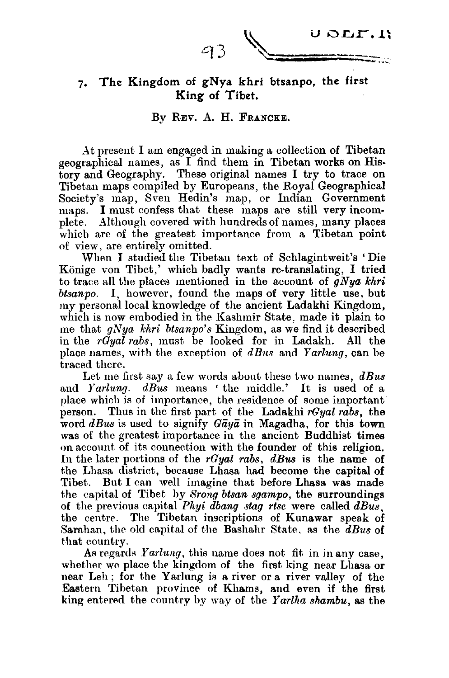## **7. The Kingdom of gNya khri btsanpo, the first King of Tibet.**

 $43$ 

## By REV. A. H. FRANCKE.

At present I am engaged in making a collection of Tibetan geographical names, **as** I find them in Tibetan works on History and Geography. These original names I try to trace on Tibetan maps compiled by Europeans, the Royal Geographical Society's map, Sven Hedin's map, or Indian Government<br>maps. I must confess that these maps are still very incommaps. I must confess that these maps are still very incom-<br>plete. Although covered with hundreds of names, many places Although covered with hundreds of names, many places which are of the greatest importance from a Tibetan point of view, are entirely omitted.

When I studied the Tibetan text of Schlagintweit's ' Die Könige von Tibet,' which badly wants re-translating, I tried to trace all the places mentioned in the account of  $gNya khri$ <br>btsanno. I however, found the maps of very little use, but I, however, found the maps of very little use, but Iny personal local knowledge of the ancient Ladakhi Kingdom, which is now embodied in the Kashmir State, made it plain to me that  $gNya$  khri btsanpo's Kingdom, as we find it described<br>in the rGual rabs, must be looked for in Ladakh. All the in the *rGual rabs*, must be looked for in Ladakh. place names, with the exception of *dBus* and *Yarlung*, can be traced there.

Let me first say a few words about these two names,  $dBus$ and  $Yarlunq.$  dBus means ' the middle.' It is used of a place which is of importance, the residence of some important person. Thus in the first part of the Ladakhi rGyal rabs, the word  $dBus$  is used to signify  $G\bar{a}y\bar{a}$  in Magadha, for this town was of the greatest importance in the ancient Buddhist times on account of its connection with the founder of this religion. In the later portions of the rGyal rabs, dBus is the name of the Lhasa district, because Lhasa had become the capital of Tibet. But I can well imagine that before Lhasa was made But I can well imagine that before Lhasa was made the capital of Tibet by *Srong bisan sgampo*, the surroundings of the previous capital *Phyi dbang slag rise* were called dBus, the centre. The Tibetan inscriptions of Kunawar speak of Sarahan, the old capital of the Bashahr State, as the  $dBus$  of that country.

As regards Yarlung, this name does not fit in in any case. whether we place the kingdom of the first king near Lhasa or near Leh; for the Yarlung is a river or a river valley of the Eastern Tibetan province of Khams, and even if the first king entered the country by way of the Yarlha shambu, as the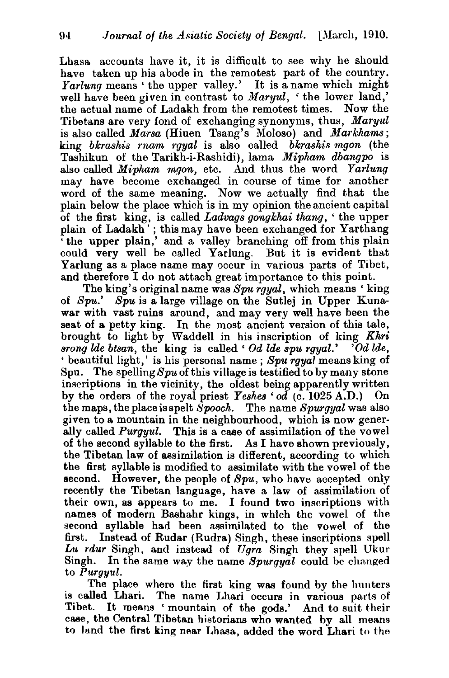Lhasa accounts have it, it is difficult to see why he should have taken up his abode in the remotest part of the country. Yarlung means ' the upper valley.' It is a name which might well have been given in contrast to  $Marvul$ , ' the lower land,' the actual name of Ladakh from the remotest times. Now the Tibetans are very fond of exchanging synonyms, thus, Maryul is also called *Marsa* (Hiuen Tsang's Moloso) and *Markhams*; king bkrashis rnam rgyal is also called bkrashis mgon (the Tashikun of the Tarikh-i-Rashidi), lama Mipham dbangpo is also called Mipham mgon, etc. And thus the word Yarlung may have become exchanged in course of time for another word of the same meaning. Now we actually find that the plain below the place which is in my opinion the ancient capital of the first king, is called Ladvags gongkhai thang, ' the upper plain of Ladakh"; this may have been exchanged for Yarthang ' the upper plain,' and a valley branching off from this plain could very well be called Yarlung. But it is evident that Yarlung as a place name may occur in various parts of Tibet, and therefore I do not attach great importance to this point.

The king's original name was  $Spu$  rgyal, which means 'king of *Spu.' Spu* is a large village on the Sutlej in Upper Kunawar with vast ruins around, and may very well have been the seat of a petty king. **In** the most ancient version of this tale, brought to light by Waddell in his inscription of king Khri srong Ide btsan, the king is called  $\cdot$  Od Ide spu rayal.' 'Od Ide,  $\cdot$  beautiful light,' is his personal name; Spu rqual means king of Spu. The spelling  $Spu$  of this village is testified to by many stone inscriptions in the vicinity, the oldest being apparently written by the orders of the royal priest Yeshes '  $od$  (c. 1025 A.D.) On the maps, the place is spelt Spooch. The name Spurgyal was also given to a mountain in the neighbourhood, which is now generally called *Purgyul*. This is a case of assimilation of the vowel of the second syllable to the first. As I have shown previously, the Tibetan law of assimilation is different, according to which the first syllable is modified to assimilate with the vowel of the second. However, the people of  $Spu$ , who have accepted only recently the Tibetan language, have a law of assimilation of their own, **as** appears to me. I found two inscriptions with names of modern Bashahr kings, in which the vowel of the second syllable had been assimilated to the vowel of the **firat.** Instead of Rudar (Rudra) Singh, these inscriptions spell Lu rdur Singh, and instead of Ugra Singh they spell Ukur Singh. In the same way the name Spurgyal could be changed to Purgyul.

The place where the first king was found by the hunters is called Lhari. The name Lhari occurs in various parts of Tibet. It means ' mountain of the gods.' And to suit their caee, the Central Tibetan historians who wanted by all means to land the first king near Lhaaa, added the word Lhari to the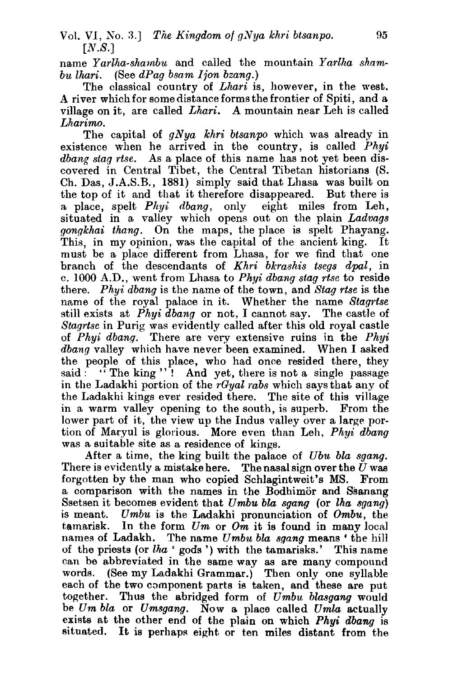name *Yarlha-shamlu* and called the mountain *Yarlha shambu lhari.* (See *dPag bsam Ijon bzang.)* 

The classical country of *Lhari* is, however, in the west. **A** river which for some distance forms the frontier of Spiti, and a village on it, are called *Lhuri. A* mountain near Leh is called *Lharimo.* 

The capital of *gNya khri btsanpo* which was already in existence when he arrived in the country, is called *Phyi dbang stag rtse.* As a place of this name has not yet been discovered in Central Tibet, the Central Tibetan historians (S. Ch. Das, J.A.S.B., **1881)** simply said that Lhasa **was** built on the top of it and that it therefore disappeared. But there is<br>a place, spelt  $Phui$  dbang, only eight miles from Leh. a place, spelt  $Phyi$  dbang, only situated in a valley which opens out on the plain *Ladvags gongkhai thang.* On the maps, the place is spelt Phayang. This, in my opinion, was the capital of the ancient king. It must be a place different from Lhasa, for we find that one branch of the descendants of *Khri bkrashis tsegs dpl,* in c. **1000** A.D., went from Lhasa to *Phyi dbang stag rtse* to reside there. *Phyi dbang* is the name of the town, and Stag *rtse* is the name of the royal palace in it. Whether the name *Stagrtse*  still exists at *Phyi dbang* or not, *I* cannot say. The castle of *Stagrtse* in Purig was evidently called after this old royal castle of *Phyi dbang.* There are very extensive ruins in the *Phyi dbang* valley which have never been examined. When I asked the people of this place, who had once resided there, they said :  $\cdots$  The king ". And yet, there is not a single passage in the Ladakhi portion of the *rGyal rubs* which says that any of the Ladakhi kings ever resided there. The site of this village in a warm valley opening to the south, is superb. From the lower part of it, the view up the Indus valley over a large portion of Maryul is glorious. More even than Leh, *Phyi dbang*  was **a** suitable site **as** a residence of kings.

After a time, the king built the palace of *Ubu bla sgang.*  There is evidently a mistake here. The nasal sign over the  $\bar{U}$  was forgotten by the man who copied Schlagintweit's MS. From a comparison with the names in the Bodhimor and Ssanang Ssetsen it becomes evident that *Umbu bla sgang* (or *lha sgang*) is meant. *Umbu* is the Ladakhi pronunciation of *Ombu*, the Umbu is the Ladakhi pronunciation of *Ombu*, the tamarisk. In the form  $Um$  or  $\overline{Om}$  it is found in many local names of Ladakh. The name *Umbu bla sgang* means ' the hill of the priests (or *Ihu* ' gods ') with the tamarisks.' This name can be abbreviated in the same way as are many compound words. (See my Ladakhi Grammar.) Then only one syllable each of the two component parts is taken, and these are put together. Thus the abridged form of *Umbu blasgang* would be *Um bla* or *Umsgang.* Now a place called *Umla* actually exists at the other end of the plain on which **Phyi** *dbang* is situated. It is perhaps eight or ten **miles** distant from the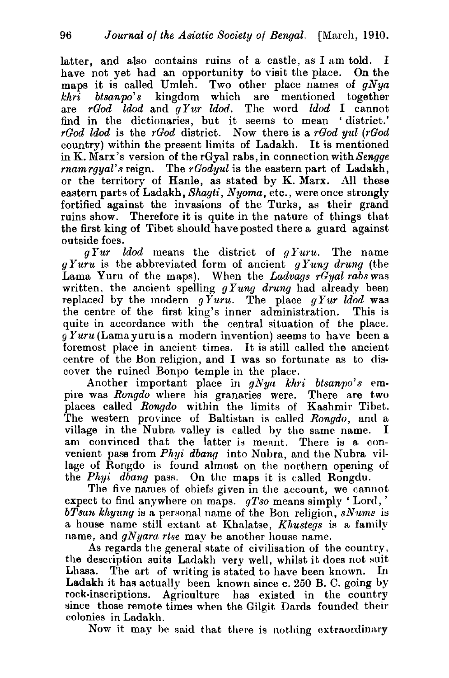latter, and also contains ruins of a castle, as I am told. I have not yet had an opportunity to visit the place. On the maps it is called Umleh. Two other place names of *gNya khri btsanpo's* kingdom which are mentioned together are *rGod ldod* and *gYzcr ldod.* The word *ldod* I cannot find in the dictionaries, but it seems to mean 'district.' *rGod ldod* is the *rGod* district. Now there is a *rGod yul (rGod*  country) within the present limits of Ladakh. It is mentioned in K. Marx's version of the rGyal rabs, in connection with Sengge  $r$ nam rgyal's reign. The  $r$ Godyul is the eastern part of Ladakh. or the territory of Hanle, as stated by K. Marx. All these eastern parts of Ladakh, *Shagti, Nyoma,* etc., were once strongly fortified against the invasions of the Turks, as their grand ruins show. Therefore it is quite in the nature of things that the first king of Tibet should have posted there a guard against outside foes.

*gYur ldod* means the district of *gYuru.* The name *gYuru* is the abbreviated form of ancient *gYung drung* (the Lama Yuru of the maps). When the *Ladvags rGyal rubs* was written, the ancient spelling *gYung drung* had already been replaced by the modern  $gYuru$ . The place  $gYur$  *ldod* was the centre of the first king's inner administration. This is the centre of the first king's inner administration. quite in accordance with the central situation of the place.  $\overline{g} Y u r u$  (Lama yuru is a modern invention) seems to have been a foremost place in ancient times. It is still called the ancient centre of the Bon religion, and I was so fortunate as to discover the ruined Bonpo temple in the place.

Another important place in *gNyo khri btsanpo's* empire was *Rongdo* where his granaries were. There are two places called *Rongdo* within the limits of Kashmir Tibet. The western province of Baltistan is called *Rongdo*, and a village in the Nubra valley is called by the same name. I village in the Nubra valley is called by the same name. am convinced that the latter is meant. There is a convenient pass from *Phyi dbang* into Nubra, and the Nubra village of Rongdo is found almost on the northern opening of the *Phyi dbang* pass. On the maps it is called Rongdu.

The five names of chiefs given in the account, we cannot expect to find anywhere on maps.  $qTso$  means simply 'Lord,' *bTsan khyung* is a personal name of the Bon religion, *sNums* is a house name still extant at Khalatse, *Kltustegs* is a family name, and *gNyara rtse* may be another house name.

As regards the general state of civilisation of the country, the description suits Ladakh very well, whilst it does not suit Lhasa. The art of writing is stated to have been known. **In**  Ladakh it has actually been known since c. 260 B. C. going by rock-inscriptions. Agriculture has existed in the country since those remote times when the Gilgit Dards founded their colonies in Ladakh.

Now it may be said that there is nothing extraordinary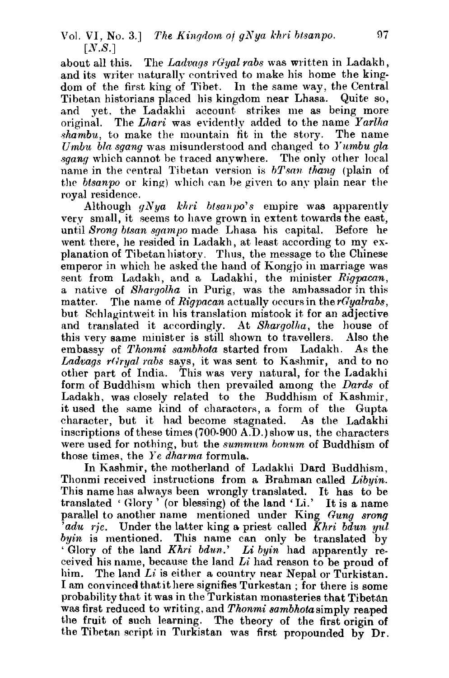about all this. The *Ladvags rGual rabs* was written in Ladakh, and its writer naturally contrived to make his home the kingdom of the first king of Tibet. In the same way, the Central Tibetan historians placed his kingdom near Lhasa. Quite so, and yet. the Ladakhi account strikes me as being more original. The Lhari was evidently added to the name  $Yarlha$  $shambu$ , to make the mountain fit in the story. The name Umbu bla sgang was misunderstood and changed to Yumbu gla sgang which cannot be traced anywhere. The only other local name in the central Tibetan version is  $bTsan$  thang (plain of the *btsanpo* or king) which can be given to any plain near the royal residence.

Although  $aNya$  khri btsanvo's empire was apparently very small, it seems to have grown in extent towards the east, until Srong bisan sgampo made Lhasa his capital. Before he went there, he resided in Ladakh, at least according to my explanation of Tibetan history. Thus, the message to the Chinese emperor in which he asked the hand of Kongjo in marriage was sent from Ladakh, and a Ladakhi, the minister  $Rigpacan$ , a native of Shargolha in Purig, was the ambassador in this matter. The name of  $Ripacan$  actually occurs in the rGyalrabs. but Schlagintweit in his translation mistook it for an adjective and translated it accordingly. At Shargolha, the house of this very same minister is still shown to travellers. Also the this very same minister is still shown to travellers. Also the embassy of Thonmi sambhota started from Ladakh. As the embassy of Thonmi sambhota started from Ladakh. Ladvags  $r$ (*iryal rabs* says, it was sent to Kashmir, and to no other part of India. This was very natural, for the Ladakhi form of Buddhism which then prevailed among the Dards of Ladakh, was closely related to the Buddhism of Kashmir. it used the same kind of chamctors, a form of the Guyta character, but it had become stagnated. As the Ladakhi inscriptions of these times (700-900 A.D.) show us, the characters were used for nothing, but the summum bonum of Buddhism of those times, the *Ye dharma* formula.

In Kashmir, the motherland of Ladakhi Dard Buddhism, Thonmi received instructions from a Brahman called Libyin. This name has always been wrongly translated. It has to be translated ' Glory ' (or blessing) of the land 'Li.' It is a name parallel to another name mentioned under King Gung srong  $\bar{a}$ *du ric.* Under the latter king a priest called  $\bar{K}$ hri bdun yull byin is mentioned. This name can only be translated by ' Glory of the land  $Khri$   $bdun.$ ' Li byin had apparently received his name, because the land Li had reason to be proud of him. The land Li is either **e** country near Nepal or Turkistan. I am convinced thntit here signifies Turkestan ; for there is some probability that it was in the Turkistan monasteries that Tibetan was first reduced to writing, and Thonmi sambhota simply reaped the fruit of such learning. The theory of the first origin of the Tibetan script in Turkistan was first propounded by  $Dr$ .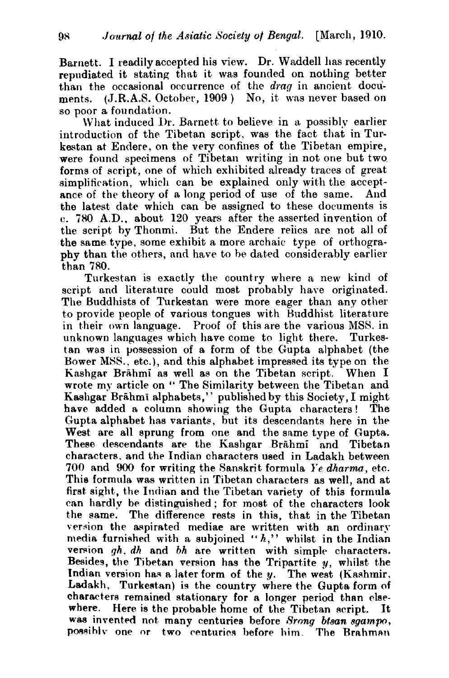Barnett. I readily accepted his view. Dr. Waddell has recently repudiated it stating that it was founded on nothing better than the occasional occurrence of the *drag* in ancient documents. (J.R.A.S. October, 1909) No. it was never based on so poor a foundation.

\Vl~at induced Dr. Barnett to believe in **u** possibly earlier introduction of the Tibetan script, was the fact that in Turkestan at Endere, on the very confines of the Tibetan empire, were found specimens of Tibetan writing in not one but two forms of script, one of which exhibited already traces of great simplification, which can be explained only with the accept-<br>ance of the theory of a long period of use of the same. And ance of the theory of a long period of use of the same. the latest date which can be assigned to these documents is *c.* **780** A.D., about 120 years after the asserted invention of the script by Thonmi. But the Endere reiics are not all of the same type, some exhibit a more archaic type of orthography than the others, nnd have to he dated considerably earlier than 780.

Turkestan is exactly the country where a new kind of script and literature could most probably have originated. The Buddhists of Turkestan were more eager than any other to provide people of various tongues with Buddhist literature in their own language. Proof of this are the various MS8. in unknown languages which have come to light there. Turkestan was in possession of a form of the Gupta alphabet (the Bower **MSS..** etc.), and this alphabet impressed its type on the Kashgar Brahmi as well as on the Tibetan script. When I wrote my article on " The Similarity between the Tibetan and Kashgar Brāhmi alphabets," published by this Society, I might have added a column showing the Gupta characters! The Gupta alphabet **has** variants, hut its descendants here in the West are all sprung from one and the same type of Gupta. These descendants are the Kashgar Brahmi and Tibetan characters. and the Indian characters used in Ladakh between 700 and 900 for writing the Sanskrit formilla **Ye** *dharma,* eta. Thie formula was written in Tibetan characters as well, and at first sight, the Indian and the Tibetan variety of this formula can hardly be distinguished; for most of the characters look the same. The difference rests in this, that in the Tibetan version the aspirated mediae are written with an ordinary media furnished with a subjoined " $h$ ," whilst in the Indian version  $gh$ ,  $dh$  and  $bh$  are written with simple characters. Besides, the Tibetan version has the Tripartite  $y$ , whilst the Indian version has a later form of the  $y$ . The west (Kashmir. Indian version has a later form of the  $y<sub>r</sub>$ . Ladakh. Turkeatan) is the country where the Gupta form **of**  characters remained stationary for a longer period than elsewhere. Here is the probable home of the Tibetan script. It was invented not many centuries before *Srong bisan sgampo*, possibly one or two centuries before him. The Brahman